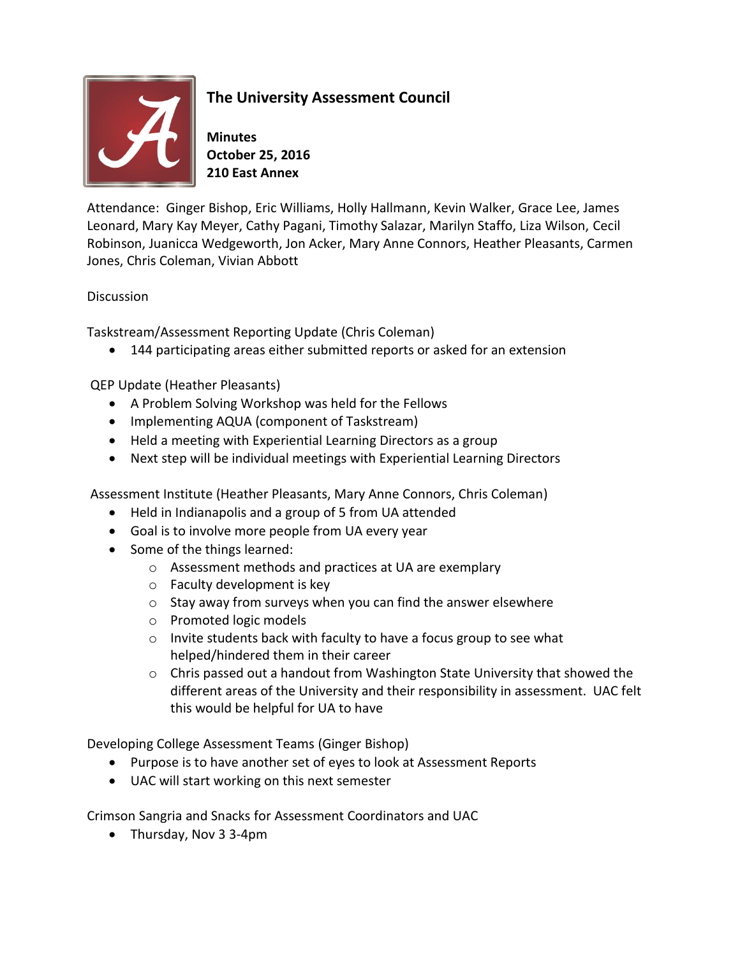

## **The University Assessment Council**

**Minutes October 25, 2016 210 East Annex**

Attendance: Ginger Bishop, Eric Williams, Holly Hallmann, Kevin Walker, Grace Lee, James Leonard, Mary Kay Meyer, Cathy Pagani, Timothy Salazar, Marilyn Staffo, Liza Wilson, Cecil Robinson, Juanicca Wedgeworth, Jon Acker, Mary Anne Connors, Heather Pleasants, Carmen Jones, Chris Coleman, Vivian Abbott

## **Discussion**

Taskstream/Assessment Reporting Update (Chris Coleman)

144 participating areas either submitted reports or asked for an extension

QEP Update (Heather Pleasants)

- A Problem Solving Workshop was held for the Fellows
- Implementing AQUA (component of Taskstream)
- Held a meeting with Experiential Learning Directors as a group
- Next step will be individual meetings with Experiential Learning Directors

Assessment Institute (Heather Pleasants, Mary Anne Connors, Chris Coleman)

- Held in Indianapolis and a group of 5 from UA attended
- Goal is to involve more people from UA every year
- Some of the things learned:
	- o Assessment methods and practices at UA are exemplary
	- o Faculty development is key
	- o Stay away from surveys when you can find the answer elsewhere
	- o Promoted logic models
	- o Invite students back with faculty to have a focus group to see what helped/hindered them in their career
	- o Chris passed out a handout from Washington State University that showed the different areas of the University and their responsibility in assessment. UAC felt this would be helpful for UA to have

Developing College Assessment Teams (Ginger Bishop)

- Purpose is to have another set of eyes to look at Assessment Reports
- UAC will start working on this next semester

Crimson Sangria and Snacks for Assessment Coordinators and UAC

Thursday, Nov 3 3-4pm